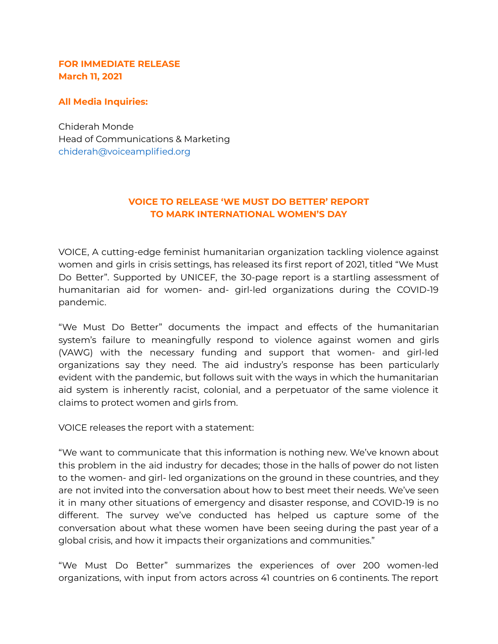### **FOR IMMEDIATE RELEASE March 11, 2021**

#### **All Media Inquiries:**

Chiderah Monde Head of Communications & Marketing chiderah@voiceamplified.org

# **VOICE TO RELEASE 'WE MUST DO BETTER' REPORT TO MARK INTERNATIONAL WOMEN'S DAY**

VOICE, A cutting-edge feminist humanitarian organization tackling violence against women and girls in crisis settings, has released its first report of 2021, titled "We Must Do Better". Supported by UNICEF, the 30-page report is a startling assessment of humanitarian aid for women- and- girl-led organizations during the COVID-19 pandemic.

"We Must Do Better" documents the impact and effects of the humanitarian system's failure to meaningfully respond to violence against women and girls (VAWG) with the necessary funding and support that women- and girl-led organizations say they need. The aid industry's response has been particularly evident with the pandemic, but follows suit with the ways in which the humanitarian aid system is inherently racist, colonial, and a perpetuator of the same violence it claims to protect women and girls from.

VOICE releases the report with a statement:

"We want to communicate that this information is nothing new. We've known about this problem in the aid industry for decades; those in the halls of power do not listen to the women- and girl- led organizations on the ground in these countries, and they are not invited into the conversation about how to best meet their needs. We've seen it in many other situations of emergency and disaster response, and COVID-19 is no different. The survey we've conducted has helped us capture some of the conversation about what these women have been seeing during the past year of a global crisis, and how it impacts their organizations and communities."

"We Must Do Better" summarizes the experiences of over 200 women-led organizations, with input from actors across 41 countries on 6 continents. The report